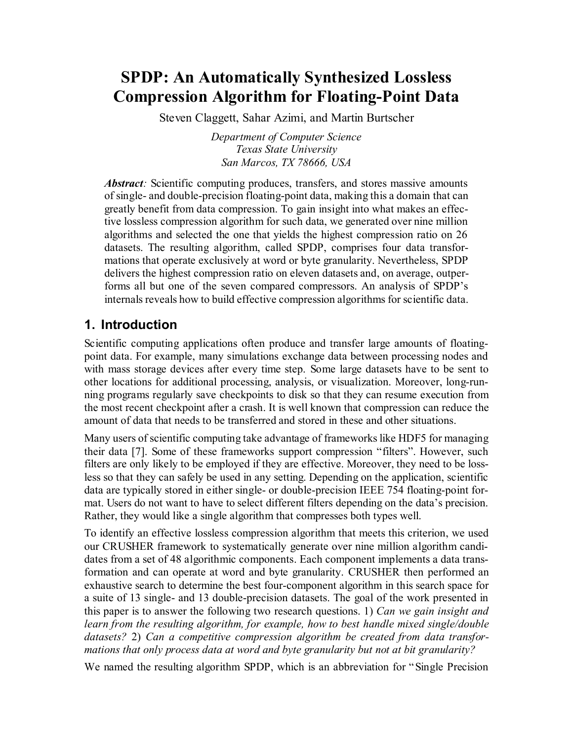# **SPDP: An Automatically Synthesized Lossless Compression Algorithm for Floating-Point Data**

Steven Claggett, Sahar Azimi, and Martin Burtscher

*Department of Computer Science Texas State University San Marcos, TX 78666, USA*

*Abstract:* Scientific computing produces, transfers, and stores massive amounts of single- and double-precision floating-point data, making this a domain that can greatly benefit from data compression. To gain insight into what makes an effective lossless compression algorithm for such data, we generated over nine million algorithms and selected the one that yields the highest compression ratio on 26 datasets. The resulting algorithm, called SPDP, comprises four data transformations that operate exclusively at word or byte granularity. Nevertheless, SPDP delivers the highest compression ratio on eleven datasets and, on average, outperforms all but one of the seven compared compressors. An analysis of SPDP's internals reveals how to build effective compression algorithms for scientific data.

### **1. Introduction**

Scientific computing applications often produce and transfer large amounts of floatingpoint data. For example, many simulations exchange data between processing nodes and with mass storage devices after every time step. Some large datasets have to be sent to other locations for additional processing, analysis, or visualization. Moreover, long-running programs regularly save checkpoints to disk so that they can resume execution from the most recent checkpoint after a crash. It is well known that compression can reduce the amount of data that needs to be transferred and stored in these and other situations.

Many users of scientific computing take advantage of frameworks like HDF5 for managing their data [\[7\].](#page-9-0) Some of these frameworks support compression "filters". However, such filters are only likely to be employed if they are effective. Moreover, they need to be lossless so that they can safely be used in any setting. Depending on the application, scientific data are typically stored in either single- or double-precision IEEE 754 floating-point format. Users do not want to have to select different filters depending on the data's precision. Rather, they would like a single algorithm that compresses both types well.

To identify an effective lossless compression algorithm that meets this criterion, we used our CRUSHER framework to systematically generate over nine million algorithm candidates from a set of 48 algorithmic components. Each component implements a data transformation and can operate at word and byte granularity. CRUSHER then performed an exhaustive search to determine the best four-component algorithm in this search space for a suite of 13 single- and 13 double-precision datasets. The goal of the work presented in this paper is to answer the following two research questions. 1) *Can we gain insight and learn from the resulting algorithm, for example, how to best handle mixed single/double datasets?* 2) *Can a competitive compression algorithm be created from data transformations that only process data at word and byte granularity but not at bit granularity?*

We named the resulting algorithm SPDP, which is an abbreviation for "Single Precision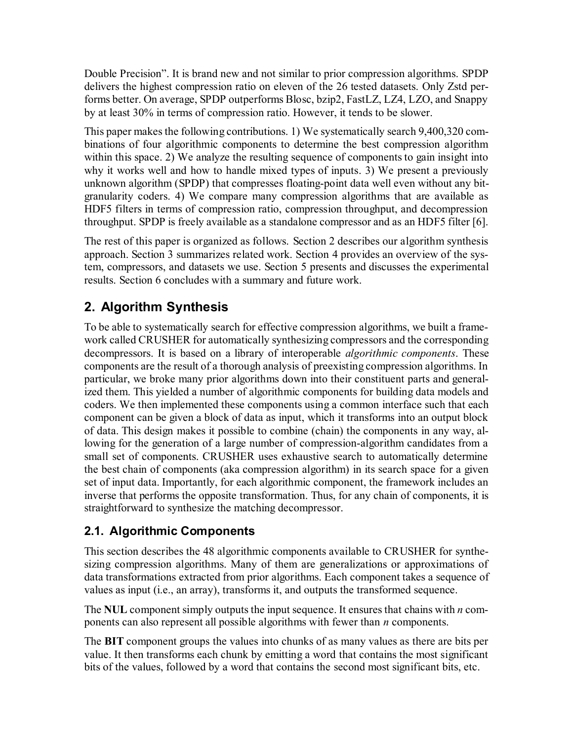Double Precision". It is brand new and not similar to prior compression algorithms. SPDP delivers the highest compression ratio on eleven of the 26 tested datasets. Only Zstd performs better. On average, SPDP outperforms Blosc, bzip2, FastLZ, LZ4, LZO, and Snappy by at least 30% in terms of compression ratio. However, it tends to be slower.

This paper makes the following contributions. 1) We systematically search 9,400,320 combinations of four algorithmic components to determine the best compression algorithm within this space. 2) We analyze the resulting sequence of components to gain insight into why it works well and how to handle mixed types of inputs. 3) We present a previously unknown algorithm (SPDP) that compresses floating-point data well even without any bitgranularity coders. 4) We compare many compression algorithms that are available as HDF5 filters in terms of compression ratio, compression throughput, and decompression throughput. SPDP is freely available as a standalone compressor and as an HDF5 filter [\[6\].](#page-9-1)

The rest of this paper is organized as follows. Section 2 describes our algorithm synthesis approach. Section 3 summarizes related work. Section 4 provides an overview of the system, compressors, and datasets we use. Section 5 presents and discusses the experimental results. Section 6 concludes with a summary and future work.

## **2. Algorithm Synthesis**

To be able to systematically search for effective compression algorithms, we built a framework called CRUSHER for automatically synthesizing compressors and the corresponding decompressors. It is based on a library of interoperable *algorithmic components*. These components are the result of a thorough analysis of preexisting compression algorithms. In particular, we broke many prior algorithms down into their constituent parts and generalized them. This yielded a number of algorithmic components for building data models and coders. We then implemented these components using a common interface such that each component can be given a block of data as input, which it transforms into an output block of data. This design makes it possible to combine (chain) the components in any way, allowing for the generation of a large number of compression-algorithm candidates from a small set of components. CRUSHER uses exhaustive search to automatically determine the best chain of components (aka compression algorithm) in its search space for a given set of input data. Importantly, for each algorithmic component, the framework includes an inverse that performs the opposite transformation. Thus, for any chain of components, it is straightforward to synthesize the matching decompressor.

## **2.1. Algorithmic Components**

This section describes the 48 algorithmic components available to CRUSHER for synthesizing compression algorithms. Many of them are generalizations or approximations of data transformations extracted from prior algorithms. Each component takes a sequence of values as input (i.e., an array), transforms it, and outputs the transformed sequence.

The **NUL** component simply outputs the input sequence. It ensures that chains with *n* components can also represent all possible algorithms with fewer than *n* components.

The **BIT** component groups the values into chunks of as many values as there are bits per value. It then transforms each chunk by emitting a word that contains the most significant bits of the values, followed by a word that contains the second most significant bits, etc.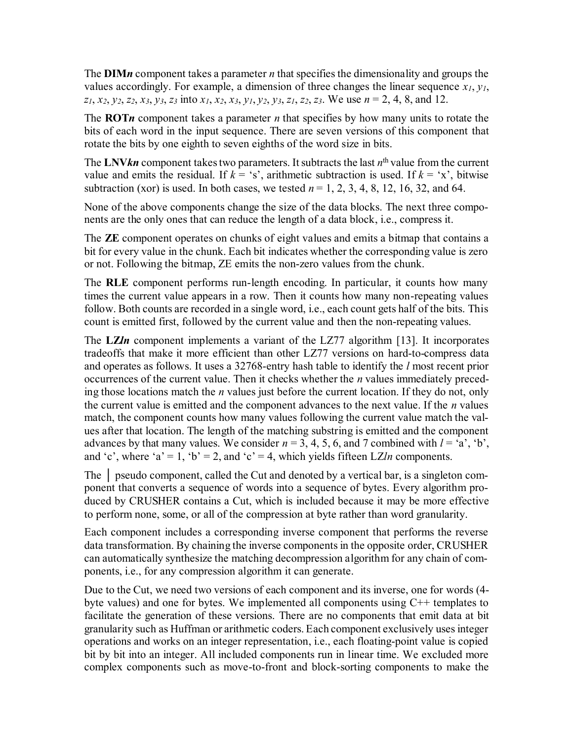The **DIM***n* component takes a parameter *n* that specifies the dimensionality and groups the values accordingly. For example, a dimension of three changes the linear sequence *x1*, *y1*,  $z_1, x_2, y_2, z_2, x_3, y_3, z_3$  into  $x_1, x_2, x_3, y_1, y_2, y_3, z_1, z_2, z_3$ . We use  $n = 2, 4, 8$ , and 12.

The **ROT***n* component takes a parameter *n* that specifies by how many units to rotate the bits of each word in the input sequence. There are seven versions of this component that rotate the bits by one eighth to seven eighths of the word size in bits.

The LNV $kn$  component takes two parameters. It subtracts the last  $n<sup>th</sup>$  value from the current value and emits the residual. If  $k = 's'$ , arithmetic subtraction is used. If  $k = 'x'$ , bitwise subtraction (xor) is used. In both cases, we tested  $n = 1, 2, 3, 4, 8, 12, 16, 32,$  and 64.

None of the above components change the size of the data blocks. The next three components are the only ones that can reduce the length of a data block, i.e., compress it.

The **ZE** component operates on chunks of eight values and emits a bitmap that contains a bit for every value in the chunk. Each bit indicates whether the corresponding value is zero or not. Following the bitmap, ZE emits the non-zero values from the chunk.

The **RLE** component performs run-length encoding. In particular, it counts how many times the current value appears in a row. Then it counts how many non-repeating values follow. Both counts are recorded in a single word, i.e., each count gets half of the bits. This count is emitted first, followed by the current value and then the non-repeating values.

The **LZ***ln* component implements a variant of the LZ77 algorithm [\[13\].](#page-9-2) It incorporates tradeoffs that make it more efficient than other LZ77 versions on hard-to-compress data and operates as follows. It uses a 32768-entry hash table to identify the *l* most recent prior occurrences of the current value. Then it checks whether the *n* values immediately preceding those locations match the *n* values just before the current location. If they do not, only the current value is emitted and the component advances to the next value. If the *n* values match, the component counts how many values following the current value match the values after that location. The length of the matching substring is emitted and the component advances by that many values. We consider  $n = 3, 4, 5, 6$ , and 7 combined with  $l = 'a', 'b',$ and 'c', where 'a' = 1, 'b' = 2, and 'c' = 4, which yields fifteen LZ*ln* components.

The **|** pseudo component, called the Cut and denoted by a vertical bar, is a singleton component that converts a sequence of words into a sequence of bytes. Every algorithm produced by CRUSHER contains a Cut, which is included because it may be more effective to perform none, some, or all of the compression at byte rather than word granularity.

Each component includes a corresponding inverse component that performs the reverse data transformation. By chaining the inverse components in the opposite order, CRUSHER can automatically synthesize the matching decompression algorithm for any chain of components, i.e., for any compression algorithm it can generate.

Due to the Cut, we need two versions of each component and its inverse, one for words (4 byte values) and one for bytes. We implemented all components using  $C++$  templates to facilitate the generation of these versions. There are no components that emit data at bit granularity such as Huffman or arithmetic coders. Each component exclusively uses integer operations and works on an integer representation, i.e., each floating-point value is copied bit by bit into an integer. All included components run in linear time. We excluded more complex components such as move-to-front and block-sorting components to make the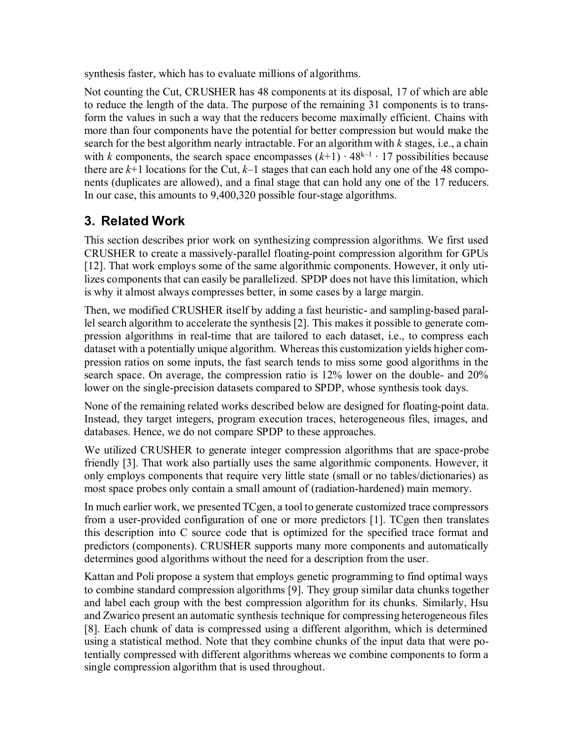synthesis faster, which has to evaluate millions of algorithms.

Not counting the Cut, CRUSHER has 48 components at its disposal, 17 of which are able to reduce the length of the data. The purpose of the remaining 31 components is to transform the values in such a way that the reducers become maximally efficient. Chains with more than four components have the potential for better compression but would make the search for the best algorithm nearly intractable. For an algorithm with *k* stages, i.e., a chain with *k* components, the search space encompasses  $(k+1) \cdot 48^{k-1} \cdot 17$  possibilities because there are  $k+1$  locations for the Cut,  $k-1$  stages that can each hold any one of the 48 components (duplicates are allowed), and a final stage that can hold any one of the 17 reducers. In our case, this amounts to 9,400,320 possible four-stage algorithms.

## **3. Related Work**

This section describes prior work on synthesizing compression algorithms. We first used CRUSHER to create a massively-parallel floating-point compression algorithm for GPUs [\[12\].](#page-9-3) That work employs some of the same algorithmic components. However, it only utilizes components that can easily be parallelized. SPDP does not have this limitation, which is why it almost always compresses better, in some cases by a large margin.

Then, we modified CRUSHER itself by adding a fast heuristic- and sampling-based parallel search algorithm to accelerate the synthesis [\[2\].](#page-9-4) This makes it possible to generate compression algorithms in real-time that are tailored to each dataset, i.e., to compress each dataset with a potentially unique algorithm. Whereas this customization yields higher compression ratios on some inputs, the fast search tends to miss some good algorithms in the search space. On average, the compression ratio is 12% lower on the double- and 20% lower on the single-precision datasets compared to SPDP, whose synthesis took days.

None of the remaining related works described below are designed for floating-point data. Instead, they target integers, program execution traces, heterogeneous files, images, and databases. Hence, we do not compare SPDP to these approaches.

We utilized CRUSHER to generate integer compression algorithms that are space-probe friendly [\[3\].](#page-9-5) That work also partially uses the same algorithmic components. However, it only employs components that require very little state (small or no tables/dictionaries) as most space probes only contain a small amount of (radiation-hardened) main memory.

In much earlier work, we presented TCgen, a tool to generate customized trace compressors from a user-provided configuration of one or more predictors [\[1\].](#page-9-6) TCgen then translates this description into C source code that is optimized for the specified trace format and predictors (components). CRUSHER supports many more components and automatically determines good algorithms without the need for a description from the user.

Kattan and Poli propose a system that employs genetic programming to find optimal ways to combine standard compression algorithms [\[9\].](#page-9-7) They group similar data chunks together and label each group with the best compression algorithm for its chunks. Similarly, Hsu and Zwarico present an automatic synthesis technique for compressing heterogeneous files [\[8\].](#page-9-8) Each chunk of data is compressed using a different algorithm, which is determined using a statistical method. Note that they combine chunks of the input data that were potentially compressed with different algorithms whereas we combine components to form a single compression algorithm that is used throughout.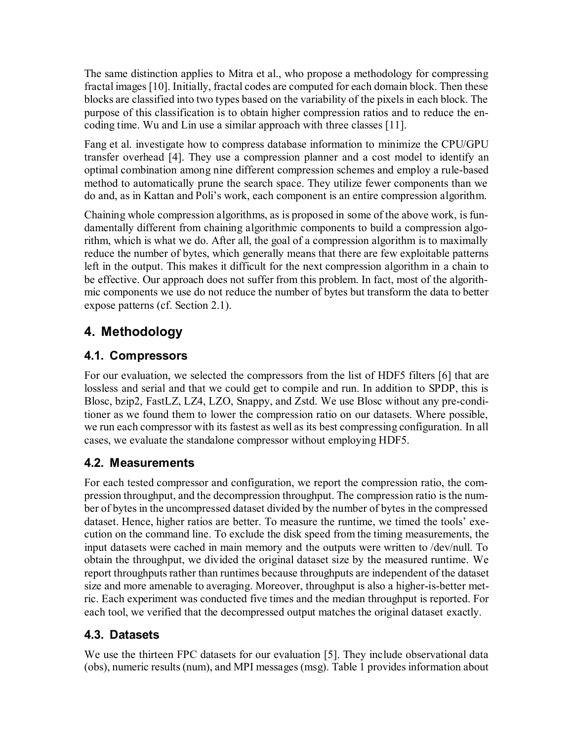The same distinction applies to Mitra et al., who propose a methodology for compressing fractal images [\[10\].](#page-9-9) Initially, fractal codes are computed for each domain block. Then these blocks are classified into two types based on the variability of the pixels in each block. The purpose of this classification is to obtain higher compression ratios and to reduce the encoding time. Wu and Lin use a similar approach with three classes [\[11\].](#page-9-10)

Fang et al. investigate how to compress database information to minimize the CPU/GPU transfer overhead [\[4\].](#page-9-11) They use a compression planner and a cost model to identify an optimal combination among nine different compression schemes and employ a rule-based method to automatically prune the search space. They utilize fewer components than we do and, as in Kattan and Poli's work, each component is an entire compression algorithm.

Chaining whole compression algorithms, as is proposed in some of the above work, is fundamentally different from chaining algorithmic components to build a compression algorithm, which is what we do. After all, the goal of a compression algorithm is to maximally reduce the number of bytes, which generally means that there are few exploitable patterns left in the output. This makes it difficult for the next compression algorithm in a chain to be effective. Our approach does not suffer from this problem. In fact, most of the algorithmic components we use do not reduce the number of bytes but transform the data to better expose patterns (cf. Section 2.1).

## **4. Methodology**

## **4.1. Compressors**

For our evaluation, we selected the compressors from the list of HDF5 filters [\[6\]](#page-9-1) that are lossless and serial and that we could get to compile and run. In addition to SPDP, this is Blosc, bzip2, FastLZ, LZ4, LZO, Snappy, and Zstd. We use Blosc without any pre-conditioner as we found them to lower the compression ratio on our datasets. Where possible, we run each compressor with its fastest as well as its best compressing configuration. In all cases, we evaluate the standalone compressor without employing HDF5.

## **4.2. Measurements**

For each tested compressor and configuration, we report the compression ratio, the compression throughput, and the decompression throughput. The compression ratio is the number of bytes in the uncompressed dataset divided by the number of bytes in the compressed dataset. Hence, higher ratios are better. To measure the runtime, we timed the tools' execution on the command line. To exclude the disk speed from the timing measurements, the input datasets were cached in main memory and the outputs were written to /dev/null. To obtain the throughput, we divided the original dataset size by the measured runtime. We report throughputs rather than runtimes because throughputs are independent of the dataset size and more amenable to averaging. Moreover, throughput is also a higher-is-better metric. Each experiment was conducted five times and the median throughput is reported. For each tool, we verified that the decompressed output matches the original dataset exactly.

## **4.3. Datasets**

We use the thirteen FPC datasets for our evaluation [\[5\].](#page-9-12) They include observational data (obs), numeric results (num), and MPI messages (msg). Table 1 provides information about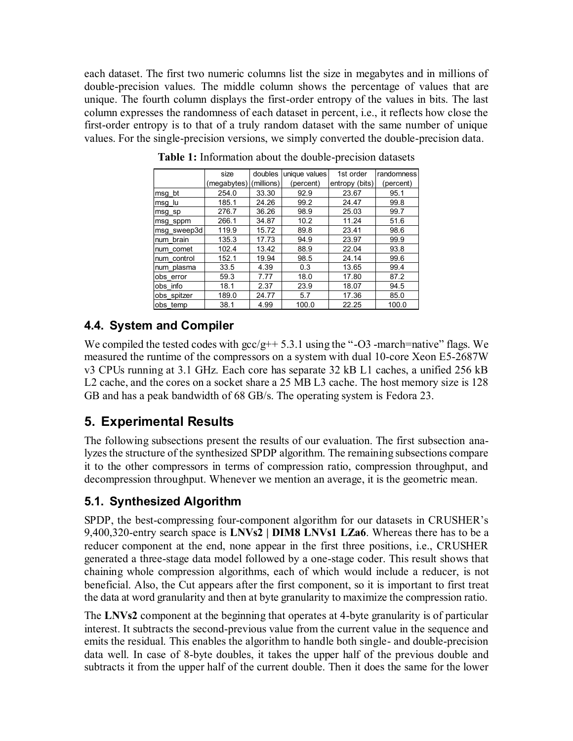each dataset. The first two numeric columns list the size in megabytes and in millions of double-precision values. The middle column shows the percentage of values that are unique. The fourth column displays the first-order entropy of the values in bits. The last column expresses the randomness of each dataset in percent, i.e., it reflects how close the first-order entropy is to that of a truly random dataset with the same number of unique values. For the single-precision versions, we simply converted the double-precision data.

|             | size                   | doubles | unique values | 1st order      | randomness |
|-------------|------------------------|---------|---------------|----------------|------------|
|             | (megabytes) (millions) |         | (percent)     | entropy (bits) | (percent)  |
| msg bt      | 254.0                  | 33.30   | 92.9          | 23.67          | 95.1       |
| msg lu      | 185.1                  | 24.26   | 99.2          | 24.47          | 99.8       |
| msg sp      | 276.7                  | 36.26   | 98.9          | 25.03          | 99.7       |
| msg sppm    | 266.1                  | 34.87   | 10.2          | 11.24          | 51.6       |
| msg sweep3d | 119.9                  | 15.72   | 89.8          | 23.41          | 98.6       |
| num brain   | 135.3                  | 17.73   | 94.9          | 23.97          | 99.9       |
| num comet   | 102.4                  | 13.42   | 88.9          | 22.04          | 93.8       |
| num control | 152.1                  | 19.94   | 98.5          | 24.14          | 99.6       |
| num plasma  | 33.5                   | 4.39    | 0.3           | 13.65          | 99.4       |
| obs error   | 59.3                   | 7.77    | 18.0          | 17.80          | 87.2       |
| obs info    | 18.1                   | 2.37    | 23.9          | 18.07          | 94.5       |
| obs spitzer | 189.0                  | 24.77   | 5.7           | 17.36          | 85.0       |
| obs temp    | 38.1                   | 4.99    | 100.0         | 22.25          | 100.0      |

**Table 1:** Information about the double-precision datasets

## **4.4. System and Compiler**

We compiled the tested codes with  $\frac{\text{gcc}}{\text{g}}+5.3.1$  using the "-O3 -march=native" flags. We measured the runtime of the compressors on a system with dual 10-core Xeon E5-2687W v3 CPUs running at 3.1 GHz. Each core has separate 32 kB L1 caches, a unified 256 kB L2 cache, and the cores on a socket share a 25 MB L3 cache. The host memory size is 128 GB and has a peak bandwidth of 68 GB/s. The operating system is Fedora 23.

## **5. Experimental Results**

The following subsections present the results of our evaluation. The first subsection analyzes the structure of the synthesized SPDP algorithm. The remaining subsections compare it to the other compressors in terms of compression ratio, compression throughput, and decompression throughput. Whenever we mention an average, it is the geometric mean.

## **5.1. Synthesized Algorithm**

SPDP, the best-compressing four-component algorithm for our datasets in CRUSHER's 9,400,320-entry search space is **LNVs2 | DIM8 LNVs1 LZa6**. Whereas there has to be a reducer component at the end, none appear in the first three positions, i.e., CRUSHER generated a three-stage data model followed by a one-stage coder. This result shows that chaining whole compression algorithms, each of which would include a reducer, is not beneficial. Also, the Cut appears after the first component, so it is important to first treat the data at word granularity and then at byte granularity to maximize the compression ratio.

The **LNVs2** component at the beginning that operates at 4-byte granularity is of particular interest. It subtracts the second-previous value from the current value in the sequence and emits the residual. This enables the algorithm to handle both single- and double-precision data well. In case of 8-byte doubles, it takes the upper half of the previous double and subtracts it from the upper half of the current double. Then it does the same for the lower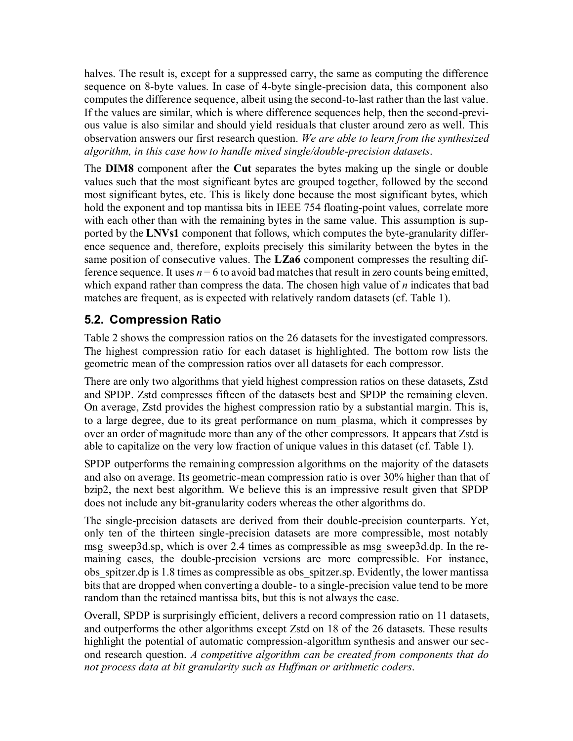halves. The result is, except for a suppressed carry, the same as computing the difference sequence on 8-byte values. In case of 4-byte single-precision data, this component also computes the difference sequence, albeit using the second-to-last rather than the last value. If the values are similar, which is where difference sequences help, then the second-previous value is also similar and should yield residuals that cluster around zero as well. This observation answers our first research question. *We are able to learn from the synthesized algorithm, in this case how to handle mixed single/double-precision datasets*.

The **DIM8** component after the **Cut** separates the bytes making up the single or double values such that the most significant bytes are grouped together, followed by the second most significant bytes, etc. This is likely done because the most significant bytes, which hold the exponent and top mantissa bits in IEEE 754 floating-point values, correlate more with each other than with the remaining bytes in the same value. This assumption is supported by the **LNVs1** component that follows, which computes the byte-granularity difference sequence and, therefore, exploits precisely this similarity between the bytes in the same position of consecutive values. The **LZa6** component compresses the resulting difference sequence. It uses  $n = 6$  to avoid bad matches that result in zero counts being emitted, which expand rather than compress the data. The chosen high value of *n* indicates that bad matches are frequent, as is expected with relatively random datasets (cf. Table 1).

## **5.2. Compression Ratio**

Table 2 shows the compression ratios on the 26 datasets for the investigated compressors. The highest compression ratio for each dataset is highlighted. The bottom row lists the geometric mean of the compression ratios over all datasets for each compressor.

There are only two algorithms that yield highest compression ratios on these datasets, Zstd and SPDP. Zstd compresses fifteen of the datasets best and SPDP the remaining eleven. On average, Zstd provides the highest compression ratio by a substantial margin. This is, to a large degree, due to its great performance on num\_plasma, which it compresses by over an order of magnitude more than any of the other compressors. It appears that Zstd is able to capitalize on the very low fraction of unique values in this dataset (cf. Table 1).

SPDP outperforms the remaining compression algorithms on the majority of the datasets and also on average. Its geometric-mean compression ratio is over 30% higher than that of bzip2, the next best algorithm. We believe this is an impressive result given that SPDP does not include any bit-granularity coders whereas the other algorithms do.

The single-precision datasets are derived from their double-precision counterparts. Yet, only ten of the thirteen single-precision datasets are more compressible, most notably msg\_sweep3d.sp, which is over 2.4 times as compressible as msg\_sweep3d.dp. In the remaining cases, the double-precision versions are more compressible. For instance, obs spitzer.dp is 1.8 times as compressible as obs spitzer.sp. Evidently, the lower mantissa bits that are dropped when converting a double- to a single-precision value tend to be more random than the retained mantissa bits, but this is not always the case.

Overall, SPDP is surprisingly efficient, delivers a record compression ratio on 11 datasets, and outperforms the other algorithms except Zstd on 18 of the 26 datasets. These results highlight the potential of automatic compression-algorithm synthesis and answer our second research question. *A competitive algorithm can be created from components that do not process data at bit granularity such as Huffman or arithmetic coders*.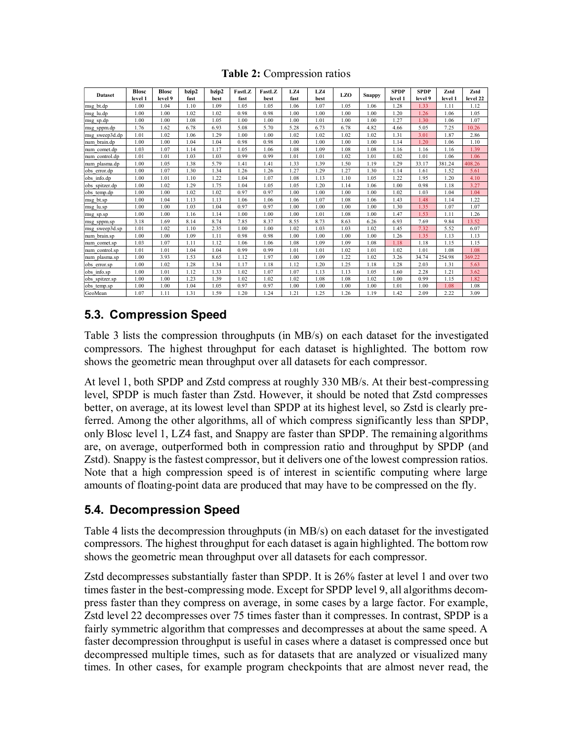#### **Table 2:** Compression ratios

|                | <b>Blosc</b> | <b>Blosc</b> | bzip2 | bzip2 | FastLZ | FastLZ | LZ4  | LZ4  | <b>LZO</b> | <b>SPDP</b>   | <b>SPDP</b> | Zstd    | Zstd    |          |
|----------------|--------------|--------------|-------|-------|--------|--------|------|------|------------|---------------|-------------|---------|---------|----------|
| <b>Dataset</b> | level 1      | level 9      | fast  | best  | fast   | best   | fast | best |            | <b>Snappy</b> | level 1     | level 9 | level 1 | level 22 |
| msg bt.dp      | 1.00         | 1.04         | 1.10  | 1.09  | 1.05   | 1.05   | 1.06 | 1.07 | 1.05       | 1.06          | 1.28        | 1.33    | 1.11    | 1.12     |
| msg lu.dp      | 1.00         | 1.00         | 1.02  | 1.02  | 0.98   | 0.98   | 1.00 | 1.00 | 1.00       | 1.00          | 1.20        | 1.26    | 1.06    | 1.05     |
| msg sp.dp      | 1.00         | 1.00         | 1.08  | 1.05  | 1.00   | 1.00   | 1.00 | 1.01 | 1.00       | 1.00          | 1.27        | 1.30    | 1.06    | 1.07     |
| msg_sppm.dp    | 1.76         | 1.62         | 6.78  | 6.93  | 5.08   | 5.70   | 5.28 | 6.73 | 6.78       | 4.82          | 4.66        | 5.05    | 7.25    | 10.26    |
| msg sweep3d.dp | 1.01         | 1.02         | 1.06  | 1.29  | 1.00   | 1.00   | 1.02 | 1.02 | 1.02       | 1.02          | 1.31        | 3.01    | 1.87    | 2.86     |
| num brain.dp   | 1.00         | 1.00         | 1.04  | 1.04  | 0.98   | 0.98   | 1.00 | 1.00 | 1.00       | 1.00          | 1.14        | 1.20    | 1.06    | 1.10     |
| num comet.dp   | 1.03         | 1.07         | 1.14  | 1.17  | 1.05   | 1.06   | 1.08 | 1.09 | 1.08       | 1.08          | 1.16        | 1.16    | 1.16    | 1.39     |
| num control.dp | 1.01         | 1.01         | 1.03  | 1.03  | 0.99   | 0.99   | 1.01 | 1.01 | 1.02       | 1.01          | 1.02        | 1.01    | 1.06    | 1.06     |
| num plasma.dp  | 1.00         | 1.05         | 1.38  | 5.79  | 1.41   | 1.41   | 1.33 | 1.39 | 1.50       | 1.19          | 1.29        | 33.17   | 381.24  | 408.26   |
| obs error.dp   | 1.00         | 1.07         | 1.30  | 1.34  | 1.26   | 1.26   | 1.27 | 1.29 | 1.27       | 1.30          | 1.14        | 1.61    | 1.52    | 5.61     |
| obs info.dp    | 1.00         | 1.01         | 1.10  | 1.22  | 1.04   | 1.07   | 1.08 | 1.13 | 1.10       | 1.05          | 1.22        | 1.95    | 1.20    | 4.10     |
| obs spitzer.dp | 1.00         | 1.02         | 1.29  | 1.75  | 1.04   | 1.05   | 1.05 | 1.20 | 1.14       | 1.06          | 1.00        | 0.98    | 1.18    | 3.27     |
| obs temp.dp    | 1.00         | 1.00         | 1.02  | 1.02  | 0.97   | 0.97   | 1.00 | 1.00 | 1.00       | 1.00          | 1.02        | 1.03    | 1.04    | 1.04     |
| msg bt.sp      | 1.00         | 1.04         | 1.13  | 1.13  | 1.06   | 1.06   | 1.06 | 1.07 | 1.08       | 1.06          | 1.43        | 1.48    | 1.14    | 1.22     |
| msg lu.sp      | 1.00         | 1.00         | 1.03  | 1.04  | 0.97   | 0.97   | 1.00 | 1.00 | 1.00       | 1.00          | 1.30        | 1.35    | 1.07    | 1.07     |
| msg sp.sp      | 1.00         | 1.00         | 1.16  | 1.14  | 1.00   | 1.00   | 1.00 | 1.01 | 1.08       | 1.00          | 1.47        | 1.53    | 1.11    | 1.26     |
| msg sppm.sp    | 3.18         | 1.69         | 8.14  | 8.74  | 7.85   | 8.37   | 8.55 | 8.73 | 8.63       | 6.26          | 6.93        | 7.69    | 9.84    | 13.52    |
| msg sweep3d.sp | 1.01         | 1.02         | 1.10  | 2.35  | 1.00   | 1.00   | 1.02 | 1.03 | 1.03       | 1.02          | 1.45        | 7.32    | 5.52    | 6.07     |
| num brain.sp   | 1.00         | 1.00         | 1.09  | 1.11  | 0.98   | 0.98   | 1.00 | 1.00 | 1.00       | 1.00          | 1.26        | 1.35    | 1.13    | 1.13     |
| num comet.sp   | 1.03         | 1.07         | 1.11  | 1.12  | 1.06   | 1.06   | 1.08 | 1.09 | 1.09       | 1.08          | 1.18        | 1.18    | 1.15    | 1.15     |
| num control.sp | 1.01         | 1.01         | 1.04  | 1.04  | 0.99   | 0.99   | 1.01 | 1.01 | 1.02       | 1.01          | 1.02        | 1.01    | 1.08    | 1.08     |
| num plasma.sp  | 1.00         | 3.93         | 1.53  | 8.65  | 1.12   | 1.97   | 1.00 | 1.09 | 1.22       | 1.02          | 3.26        | 34.74   | 254.98  | 369.22   |
| obs error.sp   | 1.00         | 1.02         | 1.28  | 1.34  | 1.17   | 1.18   | 1.12 | 1.20 | 1.25       | 1.18          | 1.28        | 2.03    | 1.31    | 5.63     |
| obs info.sp    | 1.00         | 1.01         | 1.12  | 1.33  | 1.02   | 1.07   | 1.07 | 1.13 | 1.13       | 1.05          | 1.60        | 2.28    | 1.21    | 3.62     |
| obs spitzer.sp | 1.00         | 1.00         | 1.23  | 1.39  | 1.02   | 1.02   | 1.02 | 1.08 | 1.08       | 1.02          | 1.00        | 0.99    | 1.15    | 1.82     |
| obs temp.sp    | 1.00         | 1.00         | 1.04  | 1.05  | 0.97   | 0.97   | 1.00 | 1.00 | 1.00       | 1.00          | 1.01        | 1.00    | 1.08    | 1.08     |
| GeoMean        | 1.07         | 1.11         | 1.31  | 1.59  | 1.20   | 1.24   | 1.21 | 1.25 | 1.26       | 1.19          | 1.42        | 2.09    | 2.22    | 3.09     |

### **5.3. Compression Speed**

Table 3 lists the compression throughputs (in MB/s) on each dataset for the investigated compressors. The highest throughput for each dataset is highlighted. The bottom row shows the geometric mean throughput over all datasets for each compressor.

At level 1, both SPDP and Zstd compress at roughly 330 MB/s. At their best-compressing level, SPDP is much faster than Zstd. However, it should be noted that Zstd compresses better, on average, at its lowest level than SPDP at its highest level, so Zstd is clearly preferred. Among the other algorithms, all of which compress significantly less than SPDP, only Blosc level 1, LZ4 fast, and Snappy are faster than SPDP. The remaining algorithms are, on average, outperformed both in compression ratio and throughput by SPDP (and Zstd). Snappy is the fastest compressor, but it delivers one of the lowest compression ratios. Note that a high compression speed is of interest in scientific computing where large amounts of floating-point data are produced that may have to be compressed on the fly.

### **5.4. Decompression Speed**

Table 4 lists the decompression throughputs (in MB/s) on each dataset for the investigated compressors. The highest throughput for each dataset is again highlighted. The bottom row shows the geometric mean throughput over all datasets for each compressor.

Zstd decompresses substantially faster than SPDP. It is 26% faster at level 1 and over two times faster in the best-compressing mode. Except for SPDP level 9, all algorithms decompress faster than they compress on average, in some cases by a large factor. For example, Zstd level 22 decompresses over 75 times faster than it compresses. In contrast, SPDP is a fairly symmetric algorithm that compresses and decompresses at about the same speed. A faster decompression throughput is useful in cases where a dataset is compressed once but decompressed multiple times, such as for datasets that are analyzed or visualized many times. In other cases, for example program checkpoints that are almost never read, the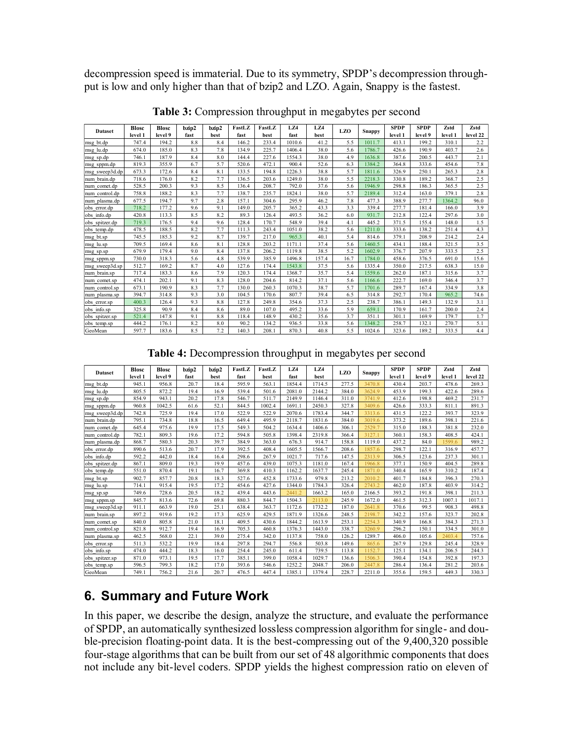decompression speed is immaterial. Due to its symmetry, SPDP's decompression throughput is low and only higher than that of bzip2 and LZO. Again, Snappy is the fastest.

| <b>Dataset</b> | <b>Blosc</b> | <b>Blosc</b> | bzip2 | bzip2 | FastLZ | FastLZ | LZ4    | LZ4   | <b>LZO</b> | <b>Snappy</b> | <b>SPDP</b> | <b>SPDP</b> | Zstd    | Zstd     |
|----------------|--------------|--------------|-------|-------|--------|--------|--------|-------|------------|---------------|-------------|-------------|---------|----------|
|                | level 1      | level 9      | fast  | best  | fast   | best   | fast   | best  |            |               | level 1     | level 9     | level 1 | level 22 |
| msg bt.dp      | 747.4        | 194.2        | 8.8   | 8.4   | 146.2  | 233.4  | 1010.6 | 41.2  | 5.5        | 1011.7        | 413.1       | 199.2       | 310.1   | 2.2      |
| msg lu.dp      | 674.0        | 185.0        | 8.3   | 7.8   | 134.9  | 225.7  | 1406.4 | 38.0  | 5.6        | 1786.7        | 426.6       | 190.9       | 403.7   | 2.6      |
| msg sp.dp      | 746.1        | 187.9        | 8.4   | 8.0   | 144.4  | 227.6  | 1554.3 | 38.0  | 4.9        | 1636.8        | 387.6       | 200.5       | 443.7   | 2.1      |
| msg sppm.dp    | 819.3        | 355.9        | 6.7   | 5.7   | 520.6  | 472.1  | 900.4  | 52.6  | 6.3        | 1384.2        | 364.8       | 333.6       | 454.6   | 7.8      |
| msg sweep3d.dp | 673.3        | 172.6        | 8.4   | 8.1   | 133.5  | 194.8  | 1226.3 | 38.8  | 5.7        | 1811.6        | 326.9       | 250.1       | 265.3   | 2.8      |
| num brain.dp   | 718.6        | 176.0        | 8.2   | 7.7   | 136.5  | 203.6  | 1249.0 | 38.0  | 5.5        | 2218.3        | 330.8       | 189.2       | 368.7   | 2.5      |
| num comet.dp   | 528.5        | 200.3        | 9.3   | 8.5   | 136.4  | 208.7  | 792.0  | 37.6  | 5.6        | 1946.9        | 298.8       | 186.3       | 365.5   | 2.5      |
| num control.dp | 758.8        | 188.2        | 8.3   | 7.7   | 138.7  | 235.7  | 1824.1 | 38.0  | 5.7        | 2189.4        | 312.4       | 163.0       | 379.1   | 2.8      |
| num plasma.dp  | 677.5        | 194.7        | 9.7   | 2.8   | 157.1  | 304.6  | 295.9  | 46.2  | 7.8        | 477.3         | 388.9       | 277.7       | 1364.2  | 96.0     |
| obs error.dp   | 718.2        | 177.2        | 9.6   | 9.1   | 149.0  | 205.7  | 365.2  | 43.3  | 3.3        | 339.4         | 277.7       | 181.4       | 166.0   | 3.9      |
| obs info.dp    | 420.8        | 113.3        | 8.5   | 8.2   | 89.3   | 126.4  | 493.5  | 36.2  | 6.0        | 931.7         | 212.8       | 122.4       | 297.6   | 3.0      |
| obs spitzer.dp | 719.3        | 176.5        | 9.4   | 9.6   | 128.4  | 170.7  | 548.9  | 39.4  | 4.1        | 445.2         | 371.5       | 155.4       | 148.0   | 1.5      |
| obs temp.dp    | 478.5        | 188.5        | 8.2   | 7.7   | 111.3  | 243.4  | 1051.0 | 38.2  | 5.6        | 1211.0        | 333.6       | 138.2       | 251.4   | 4.3      |
| msg bt.sp      | 745.5        | 185.3        | 9.2   | 8.7   | 139.7  | 217.0  | 965.3  | 40.1  | 5.4        | 814.6         | 379.1       | 208.9       | 214.2   | 2.4      |
| msg lu.sp      | 709.5        | 169.4        | 8.6   | 8.1   | 128.8  | 203.2  | 1171.1 | 37.4  | 5.6        | 1460.5        | 434.1       | 188.4       | 321.5   | 3.5      |
| msg sp.sp      | 679.9        | 179.4        | 9.0   | 8.4   | 137.8  | 206.2  | 1119.8 | 38.5  | 5.2        | 1602.9        | 376.7       | 207.9       | 333.5   | 2.5      |
| msg sppm.sp    | 730.0        | 318.3        | 5.6   | 4.8   | 539.9  | 385.9  | 1496.8 | 157.4 | 16.7       | 1784.0        | 458.6       | 376.5       | 691.0   | 15.6     |
| msg sweep3d.sp | 512.7        | 169.2        | 8.7   | 4.0   | 127.6  | 174.4  | 1543.8 | 37.5  | 5.6        | 1335.4        | 350.0       | 217.5       | 638.3   | 15.0     |
| num brain.sp   | 717.4        | 183.3        | 8.6   | 7.9   | 120.3  | 174.4  | 1368.7 | 35.7  | 5.4        | 1559.6        | 262.0       | 187.1       | 315.6   | 3.7      |
| num comet.sp   | 474.1        | 202.1        | 9.1   | 8.3   | 128.0  | 204.6  | 814.2  | 37.1  | 5.6        | 1166.6        | 222.7       | 169.0       | 346.4   | 3.7      |
| num control.sp | 673.1        | 190.9        | 8.3   | 7.7   | 130.0  | 260.3  | 1070.3 | 38.7  | 5.7        | 1701.6        | 289.7       | 167.4       | 334.9   | 3.8      |
| num plasma.sp  | 394.7        | 314.8        | 9.3   | 3.0   | 104.5  | 170.6  | 807.7  | 39.4  | 6.5        | 314.8         | 292.7       | 170.4       | 965.2   | 74.6     |
| obs error.sp   | 400.3        | 126.4        | 9.3   | 8.8   | 127.8  | 249.8  | 354.6  | 37.3  | 2.5        | 238.7         | 386.1       | 149.3       | 132.9   | 3.1      |
| obs info.sp    | 325.8        | 90.9         | 8.4   | 8.6   | 89.0   | 107.0  | 495.2  | 33.6  | 5.9        | 659.1         | 170.9       | 161.7       | 200.0   | 2.4      |
| obs spitzer.sp | 521.4        | 147.8        | 9.1   | 8.8   | 118.4  | 148.9  | 430.2  | 35.6  | 3.7        | 351.1         | 301.1       | 169.9       | 179.7   | 1.7      |
| obs temp.sp    | 444.2        | 176.1        | 8.2   | 8.0   | 90.2   | 134.2  | 936.5  | 33.8  | 5.6        | 1348.2        | 258.7       | 132.1       | 270.7   | 5.1      |
| GeoMean        | 597.7        | 183.6        | 8.5   | 7.2   | 140.3  | 208.1  | 870.3  | 40.8  | 5.5        | 1024.6        | 323.6       | 189.2       | 333.5   | 4.4      |

**Table 3:** Compression throughput in megabytes per second

**Table 4:** Decompression throughput in megabytes per second

|                | <b>Blosc</b> | <b>Blosc</b> | bzip2 | bzip2 | FastLZ | FastLZ | LZ4    | LZ4    | <b>LZO</b> | <b>SPDP</b>   | <b>SPDP</b> | Zstd    | Zstd    |          |
|----------------|--------------|--------------|-------|-------|--------|--------|--------|--------|------------|---------------|-------------|---------|---------|----------|
| <b>Dataset</b> | level 1      | level 9      | fast  | best  | fast   | best   | fast   | best   |            | <b>Snappy</b> | level 1     | level 9 | level 1 | level 22 |
| msg bt.dp      | 945.1        | 956.8        | 20.7  | 18.4  | 595.9  | 563.1  | 1854.4 | 1714.5 | 277.5      | 3470.8        | 430.4       | 203.7   | 478.6   | 269.3    |
| msg lu.dp      | 805.5        | 872.2        | 19.4  | 16.9  | 539.4  | 501.6  | 2081.0 | 2144.2 | 384.0      | 3624.9        | 453.9       | 199.3   | 422.6   | 289.6    |
| msg sp.dp      | 854.9        | 943.1        | 20.2  | 17.8  | 546.7  | 511.7  | 2149.9 | 1146.4 | 311.0      | 3741.9        | 412.6       | 198.8   | 469.2   | 231.7    |
| msg sppm.dp    | 960.8        | 1042.5       | 61.6  | 52.1  | 844.5  | 1002.4 | 1691.1 | 2450.3 | 327.8      | 3409.6        | 426.6       | 333.3   | 811.1   | 891.3    |
| msg sweep3d.dp | 742.8        | 725.9        | 19.4  | 17.0  | 522.9  | 522.9  | 2070.6 | 1783.4 | 344.7      | 3313.6        | 431.5       | 122.2   | 393.7   | 323.9    |
| num brain.dp   | 795.1        | 734.8        | 18.8  | 16.5  | 649.4  | 495.9  | 2118.7 | 1831.6 | 384.0      | 3019.6        | 373.2       | 189.6   | 398.1   | 221.6    |
| num comet.dp   | 645.4        | 975.6        | 19.9  | 17.5  | 549.3  | 504.2  | 1634.4 | 1406.6 | 306.1      | 2529.7        | 315.0       | 188.3   | 381.8   | 232.0    |
| num control.dp | 782.1        | 809.3        | 19.6  | 17.2  | 594.8  | 505.8  | 1398.4 | 2319.8 | 366.4      | 3127.1        | 360.1       | 158.3   | 408.5   | 424.1    |
| num plasma.dp  | 868.7        | 580.3        | 20.3  | 39.7  | 384.9  | 363.0  | 676.3  | 914.7  | 158.8      | 1119.0        | 437.2       | 84.0    | 1599.6  | 989.2    |
| obs error.dp   | 890.6        | 513.6        | 20.7  | 17.9  | 392.5  | 408.4  | 1605.5 | 1566.7 | 208.6      | 1857.6        | 298.7       | 122.1   | 316.9   | 457.7    |
| obs info.dp    | 592.2        | 442.0        | 18.4  | 16.4  | 298.6  | 267.9  | 1021.7 | 717.6  | 147.5      | 2313.9        | 306.5       | 123.6   | 237.3   | 301.1    |
| obs spitzer.dp | 867.1        | 809.0        | 19.3  | 19.9  | 457.6  | 439.0  | 1075.3 | 1181.0 | 167.4      | 1966.8        | 377.1       | 150.9   | 404.5   | 289.8    |
| obs temp.dp    | 551.0        | 870.4        | 19.1  | 16.7  | 369.8  | 410.3  | 1162.2 | 1637.7 | 245.4      | 1871.0        | 340.4       | 165.9   | 310.2   | 187.4    |
| msg bt.sp      | 902.7        | 857.7        | 20.8  | 18.3  | 527.6  | 452.8  | 1733.6 | 979.8  | 213.2      | 2010.2        | 401.7       | 184.8   | 396.3   | 270.3    |
| msg lu.sp      | 714.1        | 915.4        | 19.5  | 17.2  | 454.6  | 427.6  | 1344.0 | 1784.3 | 326.4      | 2743.2        | 462.0       | 187.8   | 403.9   | 314.2    |
| msg sp.sp      | 749.6        | 728.6        | 20.5  | 18.2  | 439.4  | 443.6  | 2441.2 | 1663.2 | 165.0      | 2166.5        | 393.2       | 191.8   | 398.1   | 211.3    |
| msg sppm.sp    | 845.7        | 813.6        | 72.6  | 69.8  | 880.3  | 844.7  | 1504.3 | 2113.0 | 245.9      | 1672.0        | 461.5       | 312.3   | 1007.1  | 1017.1   |
| msg sweep3d.sp | 911.1        | 663.9        | 19.0  | 25.1  | 638.4  | 363.7  | 1172.6 | 1732.2 | 187.0      | 2641.8        | 370.6       | 99.5    | 908.3   | 498.8    |
| num brain.sp   | 897.2        | 919.6        | 19.2  | 17.3  | 625.9  | 429.5  | 1871.9 | 1326.6 | 248.5      | 2198.7        | 342.2       | 157.6   | 323.7   | 202.8    |
| num comet.sp   | 840.0        | 805.8        | 21.0  | 18.1  | 409.5  | 430.6  | 1844.2 | 1613.9 | 253.1      | 2254.3        | 340.9       | 166.8   | 384.3   | 271.3    |
| num control.sp | 821.8        | 912.7        | 19.4  | 16.9  | 705.3  | 460.8  | 1376.3 | 1443.0 | 338.7      | 3260.9        | 296.2       | 150.1   | 334.5   | 301.0    |
| num plasma.sp  | 462.5        | 568.0        | 22.1  | 39.0  | 275.4  | 342.0  | 1137.8 | 758.0  | 126.2      | 1289.7        | 406.0       | 105.6   | 2403.4  | 757.6    |
| obs error.sp   | 511.3        | 532.2        | 19.9  | 18.4  | 297.8  | 294.7  | 556.8  | 503.8  | 149.6      | 865.6         | 267.9       | 129.8   | 245.4   | 328.9    |
| obs info.sp    | 474.0        | 444.2        | 18.3  | 16.0  | 254.4  | 245.0  | 611.4  | 739.5  | 113.8      | 1152.7        | 125.1       | 134.1   | 206.5   | 244.3    |
| obs spitzer.sp | 871.0        | 973.1        | 19.5  | 17.7  | 385.1  | 399.0  | 1058.4 | 1029.7 | 136.6      | 1506.3        | 390.4       | 154.8   | 392.8   | 197.3    |
| obs temp.sp    | 596.5        | 799.3        | 18.2  | 17.0  | 393.6  | 546.6  | 1252.2 | 2048.7 | 206.0      | 2447.8        | 286.4       | 136.4   | 281.2   | 203.6    |
| GeoMean        | 749.1        | 756.2        | 21.6  | 20.7  | 476.5  | 447.4  | 1385.1 | 1379.4 | 228.7      | 2211.0        | 355.6       | 159.5   | 449.3   | 330.3    |

## **6. Summary and Future Work**

In this paper, we describe the design, analyze the structure, and evaluate the performance of SPDP, an automatically synthesized lossless compression algorithm for single- and double-precision floating-point data. It is the best-compressing out of the 9,400,320 possible four-stage algorithms that can be built from our set of 48 algorithmic components that does not include any bit-level coders. SPDP yields the highest compression ratio on eleven of